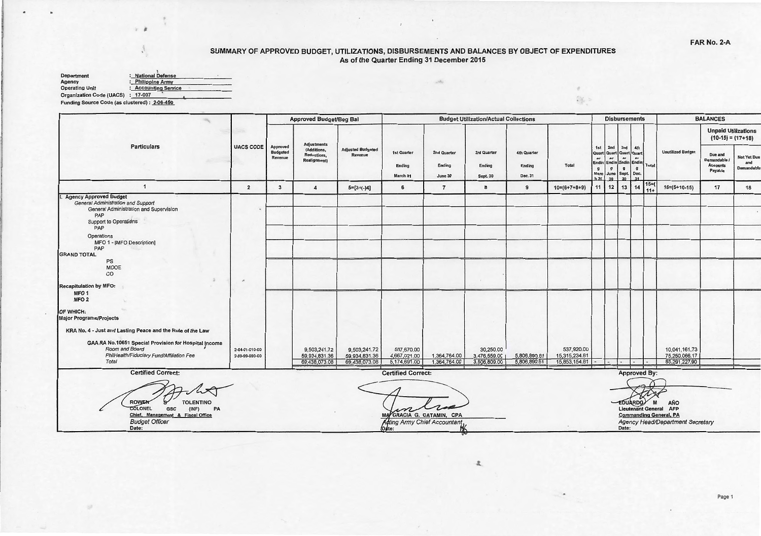$\tau$ ALS:

## SUMMARY OF APPROVED BUDGET, UTILIZATIONS, DISBURSEMENTS AND BALANCES BY OBJECT OF EXPENDITURES<br>As of the Quarter Ending 31 December 2015

 $\,$   $\,$ 

| <b>Department</b>               | <b>National Defense</b> |  |
|---------------------------------|-------------------------|--|
| Agency                          | : Philippine Army       |  |
| <b>Operating Unit</b>           | : Accounting Service    |  |
| <b>Organization Code (UACS)</b> | 17-007                  |  |

Funding Source Code (as clustered) : 2-06-450

|                                                                                                                                                                                                                                       |                                  |                                               | <b>Approved Budget/Beg Bal</b>                 |                                                | <b>Budget Utilization/Actual Collections</b> |                                  |                                           |                                         |                                              |                                           |                                                      |                                                          | <b>Disbursements</b>                                                              |                                                                                                                | <b>BALANCES</b>                                     |                                                   |  |
|---------------------------------------------------------------------------------------------------------------------------------------------------------------------------------------------------------------------------------------|----------------------------------|-----------------------------------------------|------------------------------------------------|------------------------------------------------|----------------------------------------------|----------------------------------|-------------------------------------------|-----------------------------------------|----------------------------------------------|-------------------------------------------|------------------------------------------------------|----------------------------------------------------------|-----------------------------------------------------------------------------------|----------------------------------------------------------------------------------------------------------------|-----------------------------------------------------|---------------------------------------------------|--|
|                                                                                                                                                                                                                                       |                                  |                                               | <b>Adjustments</b>                             |                                                |                                              |                                  |                                           |                                         |                                              |                                           |                                                      |                                                          |                                                                                   |                                                                                                                |                                                     | <b>Unpaid Utilizations</b><br>$(10-15) = (17+18)$ |  |
| <b>Particulars</b>                                                                                                                                                                                                                    | <b>UACS CODE</b>                 | <b>Approved</b><br><b>Budgeted</b><br>Revenue | (Additions,<br>Reductions,<br>Realignment)     | <b>Adjusted Budgeted</b><br>Revenue            | 1st Quarter<br>Ending<br>March 31            | 2nd Quarter<br>Ending<br>June 30 | 3rd Quarter<br>Ending<br><b>Sept. 30</b>  | <b>4th Quarter</b><br>Ending<br>Dec. 31 | Total                                        | 1st<br>or<br>$\mathbf{g}$<br>Marc<br>h 31 | 2nd<br>Quart Quart Quart Quart<br>ar<br>$\mathbf{g}$ | 3rd<br>ar<br>$\mathbf{g}$<br>June Sept. Dec.<br>30 30 31 | 4th<br>$\mathbf{a}\mathbf{r}$<br>Endin Endin Endin Endin<br>Total<br>$\mathbf{g}$ | <b>Unutilized Budget</b>                                                                                       | Due and<br>Demandable<br><b>Accounts</b><br>Payable | Not Yet Due<br>and<br>Demandable                  |  |
| $\mathbf{1}$                                                                                                                                                                                                                          | $\overline{2}$                   | 3                                             | 4                                              | $5=[3+(-)4]$                                   | 6                                            | $7\overline{ }$                  | 8                                         | $\mathbf{9}$                            | $10=(6+7+8+9)$                               | 11                                        | $\vert$ 12 $\vert$                                   |                                                          | $15=$<br>$13 \mid 14$<br>$11+$                                                    | $16 = (5 + 10 - 15)$                                                                                           | 17                                                  | 18                                                |  |
| I. Agency Approved Budget<br><b>General Administration and Support</b><br>General Administration and Supervision<br>PAP<br>Support to Operations<br>PAP<br>Operations<br>MFO 1 - [MFO Description]<br>PAP<br><b>GRAND TOTAL</b><br>PS |                                  |                                               |                                                |                                                |                                              |                                  |                                           |                                         |                                              |                                           |                                                      |                                                          |                                                                                   |                                                                                                                |                                                     |                                                   |  |
| MOOE<br>CO                                                                                                                                                                                                                            | $\mathcal{M}$                    |                                               |                                                |                                                |                                              |                                  |                                           |                                         |                                              |                                           |                                                      |                                                          |                                                                                   |                                                                                                                |                                                     |                                                   |  |
| Recapitulation by MFO:<br>MFO <sub>1</sub><br>MFO <sub>2</sub><br>OF WHICH:<br><b>Major Programs/Projects</b>                                                                                                                         |                                  |                                               |                                                |                                                |                                              |                                  |                                           |                                         |                                              |                                           |                                                      |                                                          |                                                                                   |                                                                                                                |                                                     |                                                   |  |
| KRA No. 4 - Just and Lasting Peace and the Rule of the Law                                                                                                                                                                            |                                  |                                               |                                                |                                                |                                              |                                  |                                           |                                         |                                              |                                           |                                                      |                                                          |                                                                                   |                                                                                                                |                                                     |                                                   |  |
| GAA RA No.10651 Special Provision for Hospital Income<br>Room and Board<br>PhilHealth/Fiduciary Fund/Affiliation Fee<br>Total                                                                                                         | 2-04-01-010-00<br>2-99-99-990-00 |                                               | 9,503,241.72<br>59,934,831.36<br>69,438,073.08 | 9,503,241.72<br>59,934,831.36<br>69,438,073.08 | 507,670.00<br>4,667,021.00<br>5,174,691.00   | 1,364,764.00<br>1,364,764.00     | 30,250.00<br>3,476,559.00<br>3,506,809.00 | 5,806,890.81<br>5,806,890.81            | 537,920.00<br>15,315,234.81<br>15,853,154.81 |                                           |                                                      |                                                          | $\overline{\phantom{0}}$                                                          | 10,041,161.73<br>75,250,066.17<br>85,291,227.90                                                                |                                                     |                                                   |  |
| <b>Certified Correct:</b>                                                                                                                                                                                                             |                                  |                                               |                                                |                                                | <b>Certified Correct:</b>                    |                                  |                                           |                                         |                                              |                                           |                                                      |                                                          | <b>Approved By:</b>                                                               |                                                                                                                |                                                     |                                                   |  |
| <b>ROWEN</b><br><b>TOLENTINO</b><br><b>COLONEL</b><br>GSC<br>(NF)<br>PA<br>Chief, Management & Fiscal Office<br><b>Budget Officer</b><br>Date:                                                                                        |                                  |                                               |                                                |                                                | Adting Army Chief Accountant<br>(Date:       | A GRACIA G. CATAMIN, CPA         |                                           |                                         |                                              |                                           |                                                      | Date:                                                    | <b>EDUARDO</b>                                                                    | AÑO<br>M<br><b>Lieutenant General AFP</b><br><b>Commanding General, PA</b><br>Agency Head/Department Secretary |                                                     |                                                   |  |